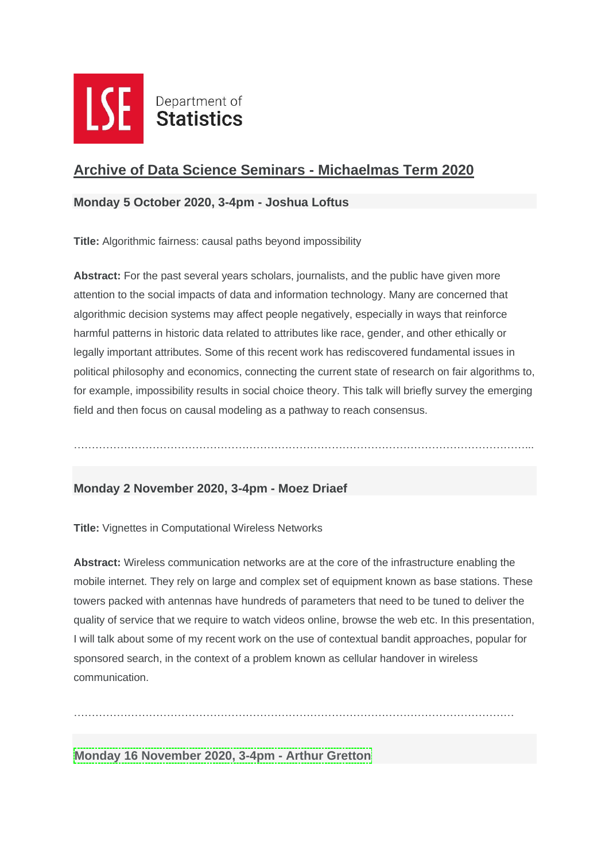

# **Archive of Data Science Seminars - Michaelmas Term 2020**

#### **Monday 5 October 2020, 3-4pm - Joshua Loftus**

**Title:** Algorithmic fairness: causal paths beyond impossibility

**Abstract:** For the past several years scholars, journalists, and the public have given more attention to the social impacts of data and information technology. Many are concerned that algorithmic decision systems may affect people negatively, especially in ways that reinforce harmful patterns in historic data related to attributes like race, gender, and other ethically or legally important attributes. Some of this recent work has rediscovered fundamental issues in political philosophy and economics, connecting the current state of research on fair algorithms to, for example, impossibility results in social choice theory. This talk will briefly survey the emerging field and then focus on causal modeling as a pathway to reach consensus.

………………………………………………………………………………………………………………...

### **[Monday 2 November 2020, 3-4pm -](https://cms-else.cloud.contensis.com/one) Moez Driaef**

**Title:** Vignettes in Computational Wireless Networks

**Abstract:** Wireless communication networks are at the core of the infrastructure enabling the mobile internet. They rely on large and complex set of equipment known as base stations. These towers packed with antennas have hundreds of parameters that need to be tuned to deliver the quality of service that we require to watch videos online, browse the web etc. In this presentation, I will talk about some of my recent work on the use of contextual bandit approaches, popular for sponsored search, in the context of a problem known as cellular handover in wireless communication.

……………………………………………………………………………………………………………

**Monday 16 [November](https://cms-else.cloud.contensis.com/one) 2020, 3-4pm - Arthur Gretton**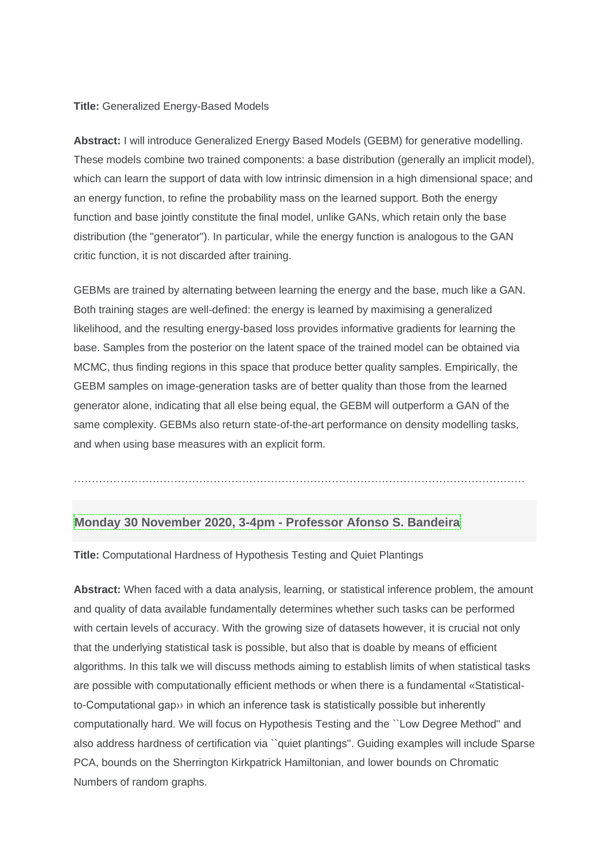#### **Title:** Generalized Energy-Based Models

**Abstract:** I will introduce Generalized Energy Based Models (GEBM) for generative modelling. These models combine two trained components: a base distribution (generally an implicit model), which can learn the support of data with low intrinsic dimension in a high dimensional space; and an energy function, to refine the probability mass on the learned support. Both the energy function and base jointly constitute the final model, unlike GANs, which retain only the base distribution (the "generator"). In particular, while the energy function is analogous to the GAN critic function, it is not discarded after training.

GEBMs are trained by alternating between learning the energy and the base, much like a GAN. Both training stages are well-defined: the energy is learned by maximising a generalized likelihood, and the resulting energy-based loss provides informative gradients for learning the base. Samples from the posterior on the latent space of the trained model can be obtained via MCMC, thus finding regions in this space that produce better quality samples. Empirically, the GEBM samples on image-generation tasks are of better quality than those from the learned generator alone, indicating that all else being equal, the GEBM will outperform a GAN of the same complexity. GEBMs also return state-of-the-art performance on density modelling tasks, and when using base measures with an explicit form.

………………………………………………………………………………………………………………

### **Monday 30 [November](https://cms-else.cloud.contensis.com/one) 2020, 3-4pm - Professor Afonso S. Bandeira**

**Title:** Computational Hardness of Hypothesis Testing and Quiet Plantings

**Abstract:** When faced with a data analysis, learning, or statistical inference problem, the amount and quality of data available fundamentally determines whether such tasks can be performed with certain levels of accuracy. With the growing size of datasets however, it is crucial not only that the underlying statistical task is possible, but also that is doable by means of efficient algorithms. In this talk we will discuss methods aiming to establish limits of when statistical tasks are possible with computationally efficient methods or when there is a fundamental «Statisticalto-Computational gap›› in which an inference task is statistically possible but inherently computationally hard. We will focus on Hypothesis Testing and the ``Low Degree Method'' and also address hardness of certification via ``quiet plantings''. Guiding examples will include Sparse PCA, bounds on the Sherrington Kirkpatrick Hamiltonian, and lower bounds on Chromatic Numbers of random graphs.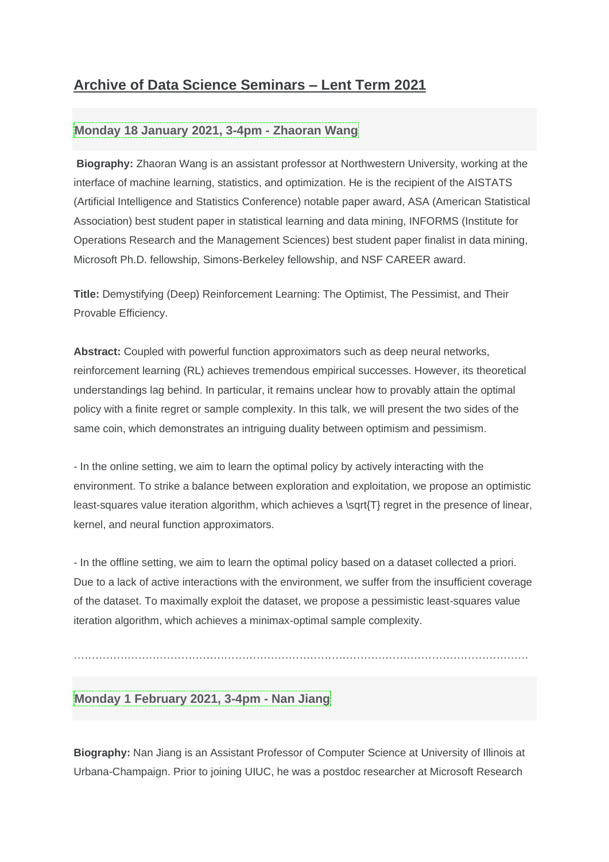# **Archive of Data Science Seminars – Lent Term 2021**

### **Monday 18 January 2021, 3-4pm - [Zhaoran](https://cms-else.cloud.contensis.com/one) Wang**

**Biography:** Zhaoran Wang is an assistant professor at Northwestern University, working at the interface of machine learning, statistics, and optimization. He is the recipient of the AISTATS (Artificial Intelligence and Statistics Conference) notable paper award, ASA (American Statistical Association) best student paper in statistical learning and data mining, INFORMS (Institute for Operations Research and the Management Sciences) best student paper finalist in data mining, Microsoft Ph.D. fellowship, Simons-Berkeley fellowship, and NSF CAREER award.

**Title:** Demystifying (Deep) Reinforcement Learning: The Optimist, The Pessimist, and Their Provable Efficiency.

**Abstract:** Coupled with powerful function approximators such as deep neural networks, reinforcement learning (RL) achieves tremendous empirical successes. However, its theoretical understandings lag behind. In particular, it remains unclear how to provably attain the optimal policy with a finite regret or sample complexity. In this talk, we will present the two sides of the same coin, which demonstrates an intriguing duality between optimism and pessimism.

- In the online setting, we aim to learn the optimal policy by actively interacting with the environment. To strike a balance between exploration and exploitation, we propose an optimistic least-squares value iteration algorithm, which achieves a \sqrt{T} regret in the presence of linear, kernel, and neural function approximators.

- In the offline setting, we aim to learn the optimal policy based on a dataset collected a priori. Due to a lack of active interactions with the environment, we suffer from the insufficient coverage of the dataset. To maximally exploit the dataset, we propose a pessimistic least-squares value iteration algorithm, which achieves a minimax-optimal sample complexity.

……………………………………………………………………………………………………………….

## **Monday 1 [February](https://cms-else.cloud.contensis.com/one) 2021, 3-4pm - Nan Jiang**

**Biography:** Nan Jiang is an Assistant Professor of Computer Science at University of Illinois at Urbana-Champaign. Prior to joining UIUC, he was a postdoc researcher at Microsoft Research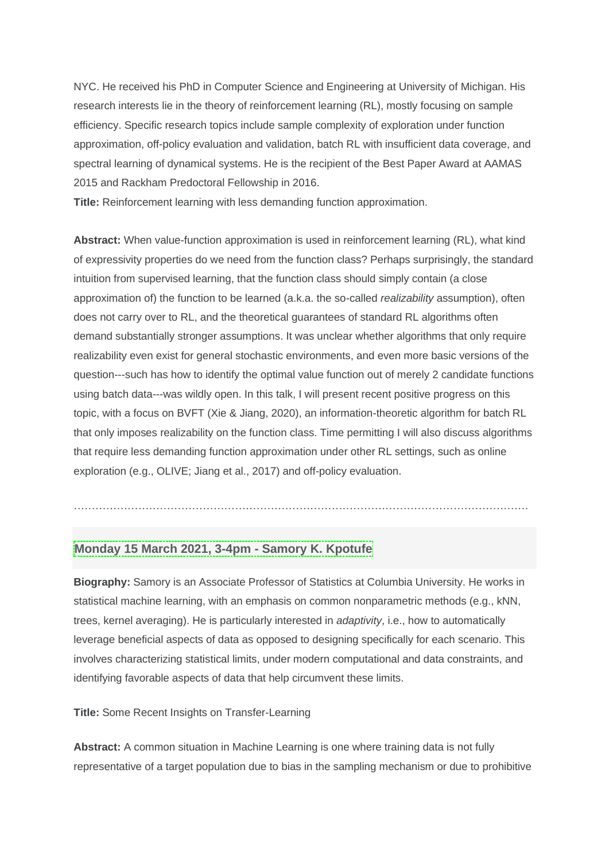NYC. He received his PhD in Computer Science and Engineering at University of Michigan. His research interests lie in the theory of reinforcement learning (RL), mostly focusing on sample efficiency. Specific research topics include sample complexity of exploration under function approximation, off-policy evaluation and validation, batch RL with insufficient data coverage, and spectral learning of dynamical systems. He is the recipient of the Best Paper Award at AAMAS 2015 and Rackham Predoctoral Fellowship in 2016.

**Title:** Reinforcement learning with less demanding function approximation.

**Abstract:** When value-function approximation is used in reinforcement learning (RL), what kind of expressivity properties do we need from the function class? Perhaps surprisingly, the standard intuition from supervised learning, that the function class should simply contain (a close approximation of) the function to be learned (a.k.a. the so-called *realizability* assumption), often does not carry over to RL, and the theoretical guarantees of standard RL algorithms often demand substantially stronger assumptions. It was unclear whether algorithms that only require realizability even exist for general stochastic environments, and even more basic versions of the question---such has how to identify the optimal value function out of merely 2 candidate functions using batch data---was wildly open. In this talk, I will present recent positive progress on this topic, with a focus on BVFT (Xie & Jiang, 2020), an information-theoretic algorithm for batch RL that only imposes realizability on the function class. Time permitting I will also discuss algorithms that require less demanding function approximation under other RL settings, such as online exploration (e.g., OLIVE; Jiang et al., 2017) and off-policy evaluation.

## **[Monday](https://cms-else.cloud.contensis.com/one) 15 March 2021, 3-4pm - Samory K. Kpotufe**

**Biography:** Samory is an Associate Professor of Statistics at Columbia University. He works in statistical machine learning, with an emphasis on common nonparametric methods (e.g., kNN, trees, kernel averaging). He is particularly interested in *adaptivity*, i.e., how to automatically leverage beneficial aspects of data as opposed to designing specifically for each scenario. This involves characterizing statistical limits, under modern computational and data constraints, and identifying favorable aspects of data that help circumvent these limits.

……………………………………………………………………………………………………………….

**Title:** Some Recent Insights on Transfer-Learning

**Abstract:** A common situation in Machine Learning is one where training data is not fully representative of a target population due to bias in the sampling mechanism or due to prohibitive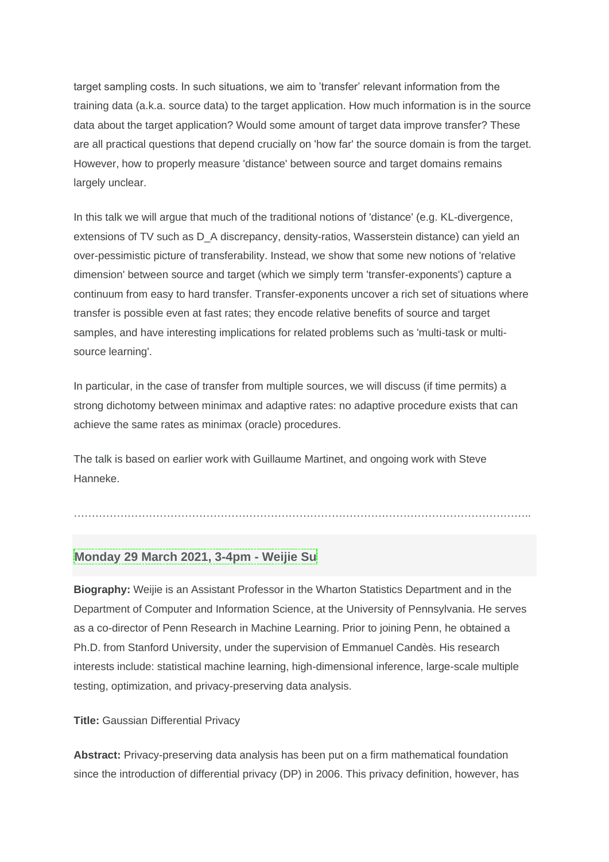target sampling costs. In such situations, we aim to 'transfer' relevant information from the training data (a.k.a. source data) to the target application. How much information is in the source data about the target application? Would some amount of target data improve transfer? These are all practical questions that depend crucially on 'how far' the source domain is from the target. However, how to properly measure 'distance' between source and target domains remains largely unclear.

In this talk we will argue that much of the traditional notions of 'distance' (e.g. KL-divergence, extensions of TV such as D\_A discrepancy, density-ratios, Wasserstein distance) can yield an over-pessimistic picture of transferability. Instead, we show that some new notions of 'relative dimension' between source and target (which we simply term 'transfer-exponents') capture a continuum from easy to hard transfer. Transfer-exponents uncover a rich set of situations where transfer is possible even at fast rates; they encode relative benefits of source and target samples, and have interesting implications for related problems such as 'multi-task or multisource learning'.

In particular, in the case of transfer from multiple sources, we will discuss (if time permits) a strong dichotomy between minimax and adaptive rates: no adaptive procedure exists that can achieve the same rates as minimax (oracle) procedures.

The talk is based on earlier work with Guillaume Martinet, and ongoing work with Steve Hanneke.

# **[Monday](https://cms-else.cloud.contensis.com/one) 29 March 2021, 3-4pm - Weijie Su**

**Biography:** Weijie is an Assistant Professor in the Wharton Statistics Department and in the Department of Computer and Information Science, at the University of Pennsylvania. He serves as a co-director of Penn Research in Machine Learning. Prior to joining Penn, he obtained a Ph.D. from Stanford University, under the supervision of Emmanuel Candès. His research interests include: statistical machine learning, high-dimensional inference, large-scale multiple testing, optimization, and privacy-preserving data analysis.

………………………………………………………………………………………………………………..

**Title:** Gaussian Differential Privacy

**Abstract:** Privacy-preserving data analysis has been put on a firm mathematical foundation since the introduction of differential privacy (DP) in 2006. This privacy definition, however, has